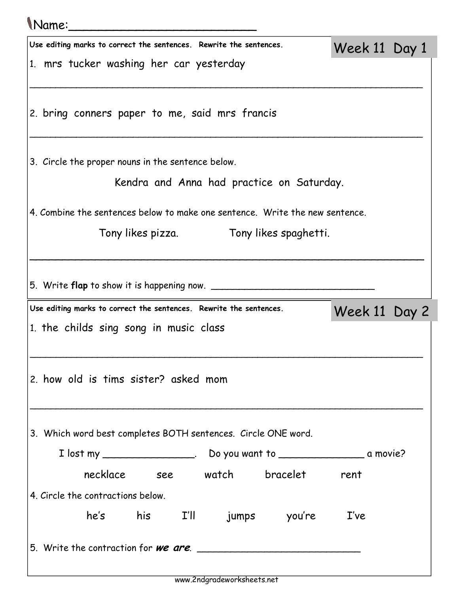| (Name:                                                             |  |  |                                                                              |               |  |
|--------------------------------------------------------------------|--|--|------------------------------------------------------------------------------|---------------|--|
| Use editing marks to correct the sentences. Rewrite the sentences. |  |  |                                                                              | Week 11 Day 1 |  |
| 1. mrs tucker washing her car yesterday                            |  |  |                                                                              |               |  |
| 2. bring conners paper to me, said mrs francis                     |  |  |                                                                              |               |  |
| 3. Circle the proper nouns in the sentence below.                  |  |  |                                                                              |               |  |
|                                                                    |  |  | Kendra and Anna had practice on Saturday.                                    |               |  |
|                                                                    |  |  | 4. Combine the sentences below to make one sentence. Write the new sentence. |               |  |
|                                                                    |  |  | Tony likes pizza. Tony likes spaghetti.                                      |               |  |
|                                                                    |  |  |                                                                              |               |  |
|                                                                    |  |  |                                                                              |               |  |
| 5. Write <b>flap</b> to show it is happening now.                  |  |  |                                                                              |               |  |
|                                                                    |  |  |                                                                              |               |  |
| Use editing marks to correct the sentences. Rewrite the sentences. |  |  |                                                                              | Week 11 Day 2 |  |
| 1. the childs sing song in music class                             |  |  |                                                                              |               |  |
|                                                                    |  |  |                                                                              |               |  |
| 2. how old is tims sister? asked mom                               |  |  |                                                                              |               |  |
|                                                                    |  |  |                                                                              |               |  |
|                                                                    |  |  |                                                                              |               |  |
| 3. Which word best completes BOTH sentences. Circle ONE word.      |  |  |                                                                              |               |  |
|                                                                    |  |  |                                                                              |               |  |
|                                                                    |  |  | necklace see watch bracelet rent                                             |               |  |
| 4. Circle the contractions below.                                  |  |  |                                                                              |               |  |
|                                                                    |  |  | he's his I'll jumps you're                                                   | I've          |  |
|                                                                    |  |  | 5. Write the contraction for <b>we are</b> .                                 |               |  |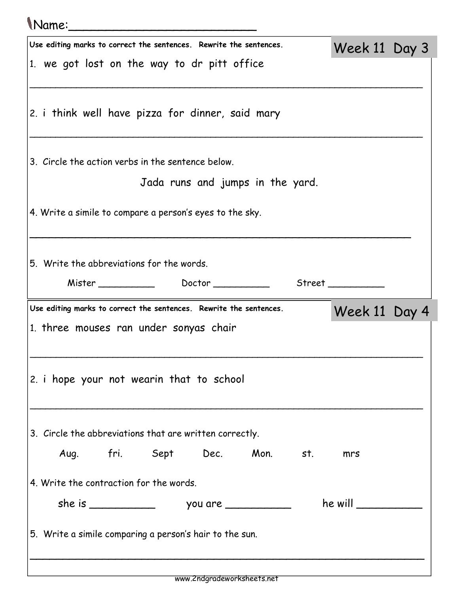## Name:\_\_\_\_\_\_\_\_\_\_\_\_\_\_\_\_\_\_\_\_\_\_\_\_\_ Use editing marks to correct the sentences. Rewrite the sentences. 1. we got lost on the way to dr pitt office \_\_\_\_\_\_\_\_\_\_\_\_\_\_\_\_\_\_\_\_\_\_\_\_\_\_\_\_\_\_\_\_\_\_\_\_\_\_\_\_\_\_\_\_\_\_\_\_\_\_\_\_\_\_\_\_\_\_\_\_\_\_\_\_\_\_\_\_\_\_\_\_\_\_\_\_ 2. i think well have pizza for dinner, said mary \_\_\_\_\_\_\_\_\_\_\_\_\_\_\_\_\_\_\_\_\_\_\_\_\_\_\_\_\_\_\_\_\_\_\_\_\_\_\_\_\_\_\_\_\_\_\_\_\_\_\_\_\_\_\_\_\_\_\_\_\_\_\_\_\_\_\_\_\_\_\_\_\_\_\_\_ 3. Circle the action verbs in the sentence below. Jada runs and jumps in the yard. 4. Write a simile to compare a person's eyes to the sky. \_\_\_\_\_\_\_\_\_\_\_\_\_\_\_\_\_\_\_\_\_\_\_\_\_\_\_\_\_\_\_\_\_\_\_\_\_\_\_\_\_\_\_\_\_\_\_\_\_\_\_\_\_\_\_\_\_\_ 5. Write the abbreviations for the words. Mister \_\_\_\_\_\_\_\_\_\_ Doctor \_\_\_\_\_\_\_\_\_\_ Street \_\_\_\_\_\_\_\_\_\_

Week 11 Day 3

Week 11 Day 4

Use editing marks to correct the sentences. Rewrite the sentences.

1. three mouses ran under sonyas chair

2. i hope your not wearin that to school

3. Circle the abbreviations that are written correctly.

Aug. fri. Sept Dec. Mon. st. mrs

4. Write the contraction for the words.

| she is<br>VOU | are. | he will |
|---------------|------|---------|
|---------------|------|---------|

\_\_\_\_\_\_\_\_\_\_\_\_\_\_\_\_\_\_\_\_\_\_\_\_\_\_\_\_\_\_\_\_\_\_\_\_\_\_\_\_\_\_\_\_\_\_\_\_\_\_\_\_\_\_\_\_\_\_\_\_\_\_\_\_\_\_\_\_\_\_\_\_\_\_\_\_

\_\_\_\_\_\_\_\_\_\_\_\_\_\_\_\_\_\_\_\_\_\_\_\_\_\_\_\_\_\_\_\_\_\_\_\_\_\_\_\_\_\_\_\_\_\_\_\_\_\_\_\_\_\_\_\_\_\_\_\_\_\_\_\_\_\_\_\_\_\_\_\_\_\_\_\_

5. Write a simile comparing a person's hair to the sun.

\_\_\_\_\_\_\_\_\_\_\_\_\_\_\_\_\_\_\_\_\_\_\_\_\_\_\_\_\_\_\_\_\_\_\_\_\_\_\_\_\_\_\_\_\_\_\_\_\_\_\_\_\_\_\_\_\_\_\_\_